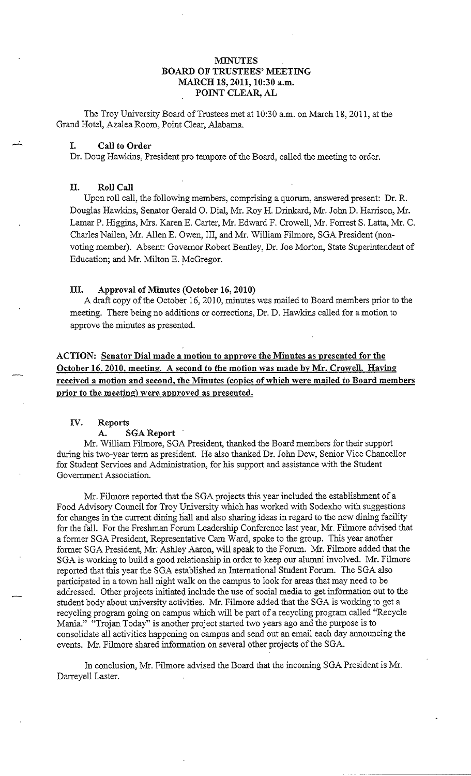## **MINUTES BOARD OF TRUSTEES' MEETING MARCH 18, 2011, 10:30 a.m. POINT CLEAR, AL**

The Troy University Board of Trustees met at 10:30 a.m. on March 18, 2011, at the Grand Hotel, Azalea Room, Point Clear, Alabama.

## **I. Call to Order**

Dr. Doug Hawkins, President pro tempore of the Board, called the meeting to order.

## **II. Roll Call**

Upon roll call, the following members, comprising a quorum, answered present: Dr. R. Douglas Hawkins, Senator Gerald 0. Dial, Mr. Roy H. Drinkard, Mr. John D. Harrison, Mr. Lamar P. Higgins, Mrs. Karen E. Carter, Mr. Edward F. Crowell, Mr. Forrest S. Latta, Mr. C. Charles Nailen, Mr. Allen E. Owen, III, and Mr. William Filmore, SGA President (nonvoting member). Absent: Governor Robert Bentley, Dr. Joe Morton, State Superintendent of Education; and Mr. Milton E. McGregor.

## **III. Approval of Minutes (October 16, 2010)**

A draft copy of the October 16, 2010, minutes was mailed to Board members prior to the meeting. There being no additions or corrections, Dr. D. Hawkins called for a motion to approve the minutes as presented.

**ACTION: Senator Dial made a motion to approve the Minutes as presented for the October 16. 2010, meeting. A second to the motion was made by Mr. Crowell. Having received a motion and second, the Minutes (copies of which were mailed to Board members prior to the meeting) were approved as presented.** 

## **IV. Reports**

## **A. SGA Report**

Mr. William Filmore, SGA President, thanked the Board members for their support during his two-year term as president. He also thanked Dr. John Dew, Senior Vice Chancellor for Student Services and Administration, for his support and assistance with the Student Government Association.

Mr. Filmore reported that the SGA projects this year included the establishment of a Food Advisory Council for Troy University which has worked with Sodexho with suggestions for changes in the current dining hall and also sharing ideas in regard to the new dining facility for the fall. For the Freshman Forum Leadership Conference last year, Mr. Filmore advised that a former SGA President, Representative Cam Ward, spoke to the group. This year another former SGA President, Mr: Ashley Aaron, will speak to the Forum. Mr. Filmore added that the SGA is working to build a good relationship in order to keep our alumni involved. Mr. Filmore reported that this year the SGA established an International Student Forum. The SGA also participated in a town hall night walk on the campus to look for areas that may need to be addressed. Other projects initiated include the use of social media to get information out to the student body about university activities. Mr. Filmore added that the SGA is working to get a recycling program going on campus which will be part of a recycling program called "Recycle Mania." "Trojan Today" is another project started two years ago and the purpose is to consolidate all activities happening on campus and send out an email each day announcing the events. Mr. Filmore shared information on several other projects of the SGA.

In conclusion, Mr. Filmore advised the Board that the incoming SGA President is Mr. Darreyell Laster.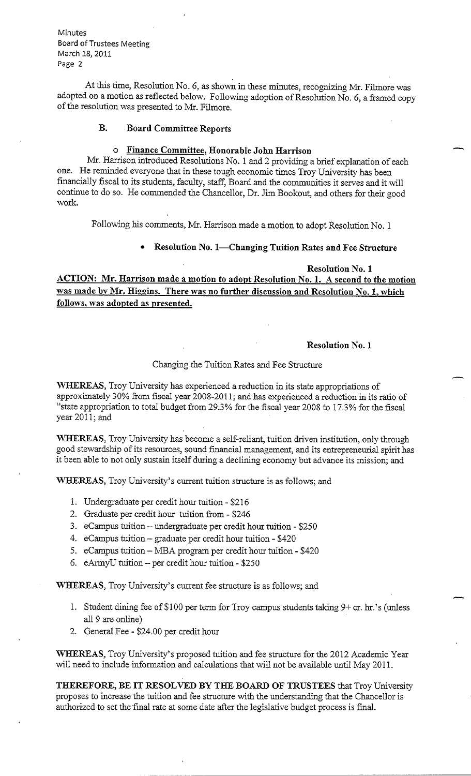At this time, Resolution No. 6, as shown in these minutes, recognizing Mr. Filmore was adopted on a motion as reflected below. Following adoption of Resolution No. 6, a framed copy of the resolution was presented to Mr. Filmore.

# **B. Board Committee Reports**

### o **Finance Committee, Honorable John Harrison**

Mr. Harrison introduced Resolutions No. 1 and 2 providing a brief explanation of each one. He reminded everyone that in these tough economic times Troy University has been financially fiscal to its students, faculty, staff, Board and the communities it serves and it will continue to do so. He commended the Chancellor, Dr. Jim Bookout, and others for their good work.

Following his comments, Mr. Harrison made a motion to adopt Resolution No. **1** 

• **Resolution No. I-Changing Tuition Rates and Fee Structure** 

**Resolution No. 1** 

**ACTION: Mr. Harrison made a motion to adopt Resolution No. I. A second to the motion was made by Mr. Higgins. There was no further discussion and Resolution No. 1, which follows, was adopted as presented.** 

## **Resolution No. I**

## Changing the Tuition Rates and Fee Structure

**WHEREAS,** Troy University has experienced a reduction in its state appropriations of approximately 30% from fiscal year 2008-2011; and has experienced a reduction in its ratio of "state appropriation to total budget from 29.3% for the fiscal year 2008 to 17.3% for the fiscal year 2011; and

**WHEREAS,** Troy University has become a self-reliant, tuition driven institution, only through good stewardship of its resources, sound financial management, and its entrepreneurial spirit has it been able to not only sustain itself during a declining economy but advance its mission; and

**WHEREAS,** Troy University's current tuition structure is as follows; and

- 1. Undergraduate per credit hour tuition \$216
- 2. Graduate per credit hour tuition from \$246
- 3. eCampus tuition-undergraduate per credit hour tuition \$250
- 4. eCampus tuition graduate per credit hour tuition \$420
- 5. eCampus tuition- MBA program per credit hour tuition \$420
- 6. eArmyU tuition per credit hour tuition \$250

**WHEREAS,** Troy University's current fee structure is as follows; and

- 1. Student dining fee of\$100 per term for Troy campus students taking 9+ er. hr.'s (unless all 9 are online)
- 2. General Fee \$24.00 per credit hour

**WHEREAS,** Troy University's proposed tuition and fee structure for the 2012 Academic Year will need to include information and calculations that will not be available until May 2011.

**THEREFORE, BE IT RESOLVED BY THE BOARD OF TRUSTEES** that Troy University proposes to increase the tuition and fee structure with the understanding that the Chancellor is authorized to set the final rate at some date after the legislative budget process is final.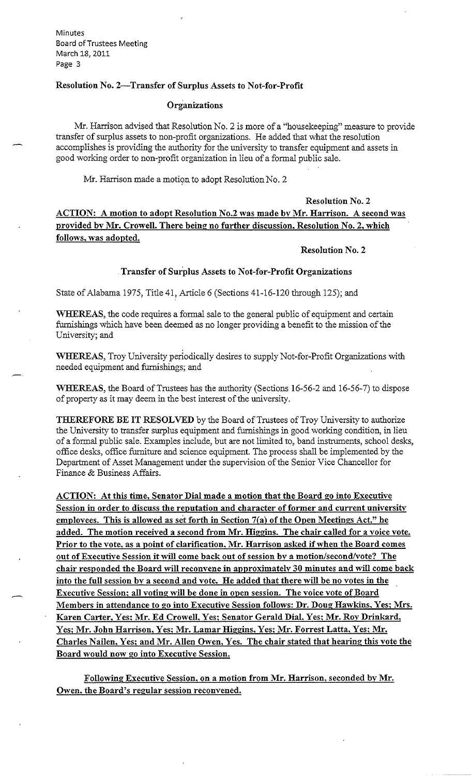## **Resolution No. 2-Transfer of Surplus Assets to Not-for-Profit**

## **Organizations**

Mr. Harrison advised that Resolution No. 2 is more of a "housekeeping" measure to provide transfer of surplus assets to non-profit organizations. He added that what the resolution accomplishes is providing the authority for the university to transfer equipment and assets in good working order to non-profit organization in lieu of a formal public sale.

Mr. Harrison made a motion to adopt Resolution No. 2

**Resolution No. 2 ACTION: A motion to adopt Resolution No.2 was made by Mr. Harrison. A second was provided by Mr. Crowell. There being no further discussion, Resolution No. 2, which follows, was adopted.** 

## **Resolution No. 2**

## **Transfer of Surplus Assets to Not-for-Profit Organizations**

State of Alabama 1975, Title 41, Article 6 (Sections 41-16-120 through 125); and

**WHEREAS,** the code requires a formal sale to the general public of equipment and certain furnishings which have been deemed as no longer providing a benefit to the mission of the University; and

**WHEREAS,** Troy University periodically desires to supply Not-for-Profit Organizations with needed equipment and furnishings; and

**WHEREAS,** the Board of Trustees has the authority (Sections 16-56-2 and 16-56-7) to dispose of property as it may deem in the best interest of the university.

**THEREFORE BE IT RESOLVED** by the Board of Trustees of Troy University to authorize the University to transfer surplus equipment and furnishings in good working condition, in lieu of a formal public sale. Examples include, but are not limited to, band instruments, school desks, office desks, office furniture and science equipment. The process shall be implemented by the Department of Asset Management under the supervision of the Senior Vice Chancellor for Finance & Business Affairs.

**ACTION: At this time, Senator Dial made a motion that the Board go into Executive Session in order to discuss the reputation and character of former and current university emplovees. This is allowed as set forth in Section 7(a) of the Open Meetings Act," he added. The motion received a second from Mr. Higgins. The chair called for a voice vote. Prior to the vote, as a point of clarification, Mr. Harrison asked if when the Board comes out of Executive Session it will come back out of session by a motion/second/vote? The chair responded the Board will reconvene in approximately 30 minutes and will come back into the full session by a second and vote. He added that there will be no votes in the Executive Session; all voting will be done in open session. The voice vote of Board Members in attendance to go into Executive Session follows: Dr. Doug Hawkins, Yes; Mrs. Karen Carter, Yes; Mr. Ed Crowell, Yes; Senator Gerald Dial, Yes; Mr. Roy Drinkard, Yes; Mr. John Harrison, Yes; Mr. Lamar Higgins, Yes; Mr. Forrest Latta, Yes; Mr. Charles Nailen, Yes; and Mr. Allen Owen, Yes. The chair stated that hearing this vote the Board would now** go **into Executive Session.** 

Following Executive Session, on a motion from Mr. Harrison, seconded by Mr. Owen. the Board's regular session reconvened.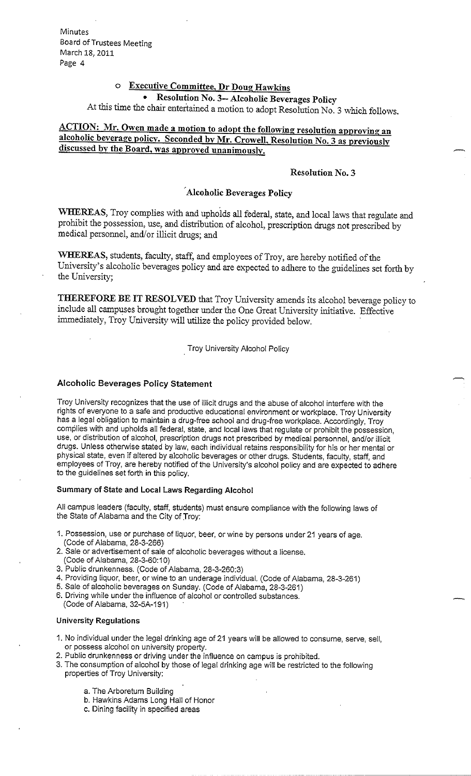# **Executive Committee, Dr Doug Hawkins**

# • **Resolution No. 3-- Alcoholic Beverages Policy**

At this time the chair entertained a motion to adopt Resolution No. 3 which follows.

# **ACTION: Mr. Owen made a motion to adopt the following resolution approving an alcoholic beverage policv. Seconded by Mr. Crowell, Resolution No. 3 as previously discussed by the Board, was approved unanimously.**

### **Resolution No. 3**

# **··Alcoholic Beverages Policy**

**WHEREAS,** Troy complies with and upholds all federal, state, and local laws that regulate and prohibit the possession, use, and distribution of alcohol, prescription drugs not prescribed by medical personnel, and/or illicit drugs; and

**WHEREAS,** students, faculty, staff, and employees of Troy, are hereby notified of the University's alcoholic beverages policy and are expected to adhere to the guidelines set forth by the University;

**THEREFORE BE IT RESOLVED** that Troy University amends its alcohol beverage policy to include all campuses brought together under the One Great University initiative. Effective immediately, Troy University will utilize the policy provided below.

Troy University Alcohol Policy

## **Alcoholic Beverages Policy Statement**

Troy University recognizes that the use of illicit drugs and the abuse of alcohol interfere with the rights of everyone to a safe and productive educational environment or workplace. Troy University has a legal obligation to maintain a drug-free school and drug-free workplace. Accordingly, Troy complies with and upholds all federal, state, and local laws that regulate or prohibit the possession, use, or distribution of alcohol, prescription drugs not prescribed by medical personnel, and/or illicit drugs. Unless otherwise stated by law, each individual retains responsibility for his or her mental or physical state, even if altered by alcoholic beverages or other drugs. Students, faculty, staff, and employees of Troy, are hereby notified of the University's alcohol policy and are expected to adhere to the guidelines set forth in this policy.

## **Summary of State and Local Laws Regarding Alcohol**

All campus leaders (faculty, staff, students) must ensure compliance with the following laws of the State of Alabama and the City of Troy:

- 1. Possession, use or purchase of liquor, beer, or wine by persons under 21 years of age. (Code of Alabama, 28-3-266)
- 2. Sale or advertisement of sale of alcoholic beverages without a license.
- (Code of Alabama, 28-3-60:10)
- 3. Public drunkenness. (Code of Alabama, 28-3-260:3)
- 4. Providing liquor, beer, or wine to an underage individual. (Code of Alabama, 28-3-261)
- 5. Sale of alcoholic beverages on Sunday. (Code of Alabama, 28-3-261)
- 6. Driving while under the influence of alcohol or controlled substances. (Code of Alabama, 32-5A-191)

#### **University Regulations**

- 1. No individual under the legal drinking age of 21 years will be allowed to consume, serve, sell, or possess alcohol on university property.
- 2. Public drunkenness or driving under the influence on campus is prohibited.
- 3. The consumption of alcohol by those of legal drinking age will be restricted to the following properties of Troy University:
	- a. The Arboretum Building
	- b. Hawkins Adams Long Hall of Honor
	- c. Dining facility in specified areas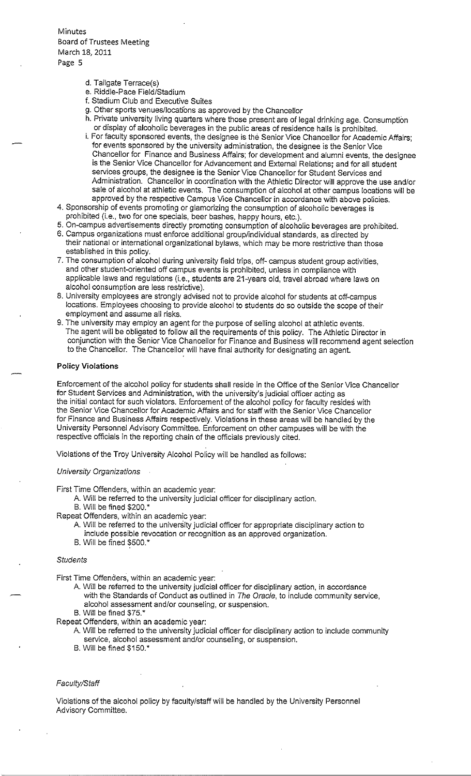- d. Tailgate Terrace(s)
- e. Riddle-Pace Field/Stadium
- f. Stadium Club and Executive Suites
- g. Other sports venues/locations as approved by the Chancellor
- h. Private university living quarters where those present are of legal drinking age. Consumption or display of alcoholic beverages in the public areas of residence halls is prohibited.
- i. For faculty sponsored events, the designee is the Senior Vice Chancellor for Academic Affairs; for events sponsored by the university administration, the designee is the Senior Vice Chancellor for Finance and Business Affairs; for development and alumni events, the designee is the Senior Vice Chancellor for Advancement and External Relations; and for all student services groups, the designee is the Senior Vice Chancellor for Student Services and Administration. Chancellor in coordination with the Athletic Director will approve the use and/or sale of alcohol at athletic events. The consumption of alcohol at other campus locations will be approved by the respective Campus Vice Chancellor in accordance with above policies.
- 4. Sponsorship of events promoting or glamorizing the consumption of alcoholic beverages is prohibited (i.e., two for one specials, beer bashes, happy hours, etc.).
- 5. On-campus advertisements directly promoting consumption of alcoholic beverages are prohibited.
- 6. Campus organizations must enforce additional group/individual standards, as directed by their national or international organizational bylaws, which may be more restrictive than those established in this policy.
- 7. The consumption of alcohol during university field trips, off- campus student group activities, and other student-oriented off campus events is prohibited, unless in compliance with applicable laws and regulations (i.e., students are 21-years old, travel abroad where laws on alcohol consumption are less restrictive).
- 8. University employees are strongly advised not to provide alcohol for students at off-campus locations. Employees choosing to provide alcohol to students do so outside the scope of their employment and assume all risks.
- 9. The university may employ an agent for the purpose of selling alcohol at athletic events. The agent will be obligated to follow all the requirements of this policy. The Athletic Director in conjunction with the Senior Vice Chancellor for Finance and Business will recommend agent selection to the Chancellor. The Chancellor will have final authority for designating an agent.

#### **Policy Violations**

Enforcement of the alcohol policy for students shall reside in the Office of the Senior Vice Chancellor for Student Services and Administration, with the university's judicial officer acting as the initial contact for such violators. Enforcement of the alcohol policy for faculty resides with the Senior Vice Chancellor for Academic Affairs and for staff with the Senior Vice Chancellor for Finance and Business Affairs respectively. Violations in these areas will be handled by the University Personnel Advisory Committee. Enforcement on other campuses will be with the respective officials in the reporting chain of the officials previously cited.

Violations of the Troy University Alcohol Policy will be handled as follows:

University Organizations

First Time Offenders, within an academic year:

- A. Will be referred to the university judicial officer for disciplinary action.
- B. Will be fined \$200.\*
- Repeat Offenders, within an academic year:
	- A Will be referred to the university judicial officer for appropriate disciplinary action to include possible revocation or recognition as an approved organization.
	- B. Will be fined \$500.\*

#### **Students**

First Time Offenders, within an academic year:

- A. Will be referred to the university judicial officer for disciplinary action, in accordance with the Standards of Conduct as outlined in The Oracle, to include community service, alcohol assessment and/or counseling, or suspension.
- B. Will be fined \$75. \*

Repeat Offenders, within an academic year:

- A Will be referred to the university judicial officer for disciplinary action to include community service, alcohol assessment and/or counseling, or suspension.
- B. Will be fined \$150.\*

#### Faculty/Staff

Violations of the alcohol policy by faculty/staff will be handled by the University Personnel Advisory Committee.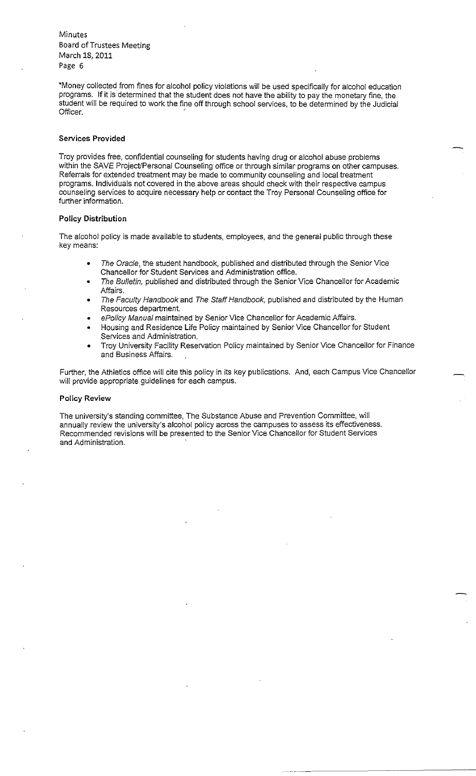\*Money collected from fines for alcohol policy violations will be used specifically for alcohol education programs. **If** it is determined that the student does not have the ability to pay the monetary fine, the student will be required to work the fine off through school services, to be determined by the Judicial Officer.

#### **Services Provided**

Troy provides free, confidential counseling for students having drug or alcohol abuse problems within the SAVE Project/Personal Counseling office or through similar programs on other campuses. Referrals for extended treatment may be made to community counseling and local treatment programs. Individuals not covered in the above areas should check with their respective campus counseling services to acquire necessary help or contact the Troy Personal Counseling office for further information.

#### **Policy Distribution**

The alcohol policy is made available to students, employees, and the general public through these key means:

- The Oracle, the student handbook, published and distributed through the Senior Vice Chancellor for Student Services and Administration office.
- The Bulletin, published and distributed through the Senior Vice Chancellor for Academic Affairs.
- The Faculty Handbook and The Staff Handbook, published and distributed by the Human Resources department.
- ePolicy Manual maintained by Senior Vice Chancellor for Academic Affairs.
- Housing and Residence Life Policy maintained by Senior Vice Chancellor for Student Services and Administration.
- Troy University Facility Reservation Policy maintained by Senior Vice Chancellor for Finance and Business Affairs.

Further, the Athletics office will cite this policy in its key publications. And, each Campus Vice Chancellor will provide appropriate guidelines for each campus.

#### **Policy Review**

The university's standing committee, The Substance Abuse and Prevention Committee, will annually review the university's alcohol policy across the campuses to assess tts effectiveness. Recommended revisions will be presented to the Senior Vice Chancellor for Student Services and Administration.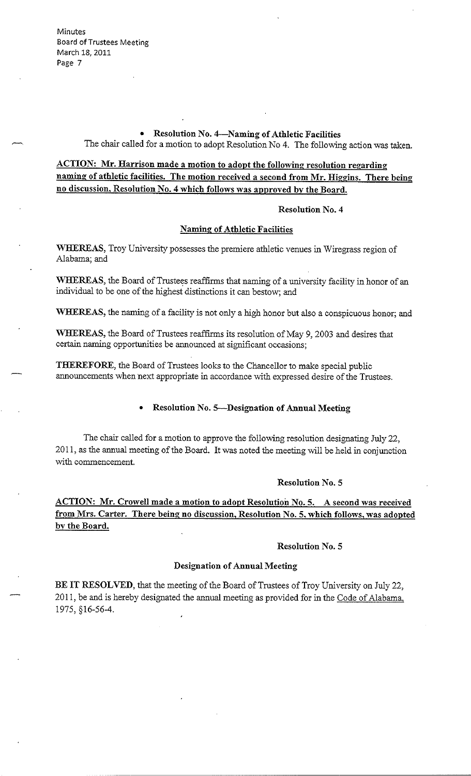> • **Resolution No. 4-Naming of Athletic Facilities**  The chair called for a motion to adopt Resolution No 4. The following action was taken.

# **ACTION: Mr. Harrison made a motion to adopt the following resolution regarding naming of athletic facilities. The motion received a second from Mr. Higgins. There being no discussion, Resolution No. 4 which follows was approved by the Board.**

#### **Resolution No. 4**

## **Naming of Athletic Facilities**

**WHEREAS,** Troy University possesses the premiere athletic venues in Wiregrass region of Alabama; and

**WHEREAS,** the Board of Trustees reaffirms that naming of a university facility in honor of an individual to be one of the highest distinctions it can bestow; and

**WHEREAS,** the naming of a facility is not only a high honor but also a conspicuous honor; and

**WHEREAS,** the Board of Trustees reaffirms its resolution of May 9, 2003 and desires that certain naming opportunities be announced at significant occasions;

**THEREFORE,** the Board of Trustees looks to the Chancellor to make special public announcements when next appropriate in accordance with expressed desire of the Trustees.

## • **Resolution No. 5--Designation of Annual Meeting**

The chair called for a motion to approve the following resolution designating July 22, 2011, as the annual meeting of the Board. It was noted the meeting will be held in conjunction with commencement.

## **Resolution No. 5**

**ACTION: Mr. Crowell made a motion to adopt Resolution No. 5. A second was received from Mrs. Carter. There being no discussion, Resolution No. S. which follows, was adopted by the Board.** 

#### **Resolution No. 5**

### **Designation of Annual Meeting**

**BE IT RESOLVED,** that the meeting of the Board of Trustees of Troy University on July 22, 2011, be and is hereby designated the annual meeting as provided for in the Code of Alabama, 1975, §16-56-4.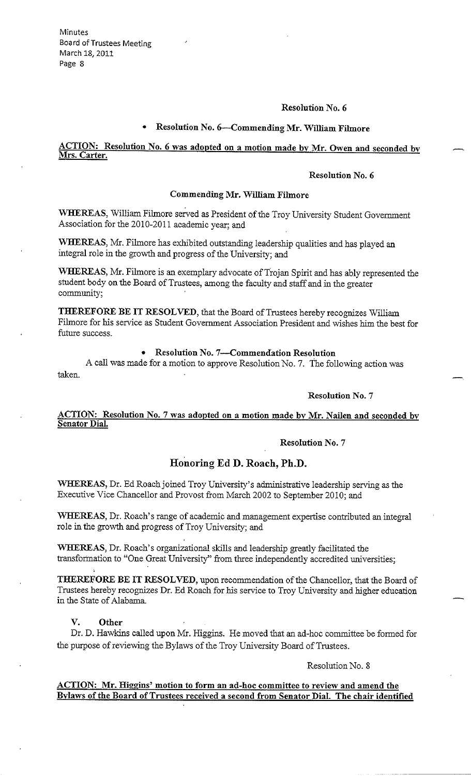### **Resolution No. 6**

# • **Resolution No. 6--Commending Mr. William Filmore**

## **ACTION: Resolution No. 6 was adopted on a motion made by Mr. Owen and seconded by Mrs. Carter.**

## **Resolution No. 6**

## **Commending Mr. William Filmore**

**WHEREAS,** William Filmore served as President of the Troy University Student Government Association for the 2010-2011 academic year; and

**WHEREAS,** Mr.Filmore has exhibited outstanding leadership qualities and has played an integral role in the growth and progress of the University; and

**WHEREAS,** Mr. Filmore is an exemplary advocate of Trojan Spirit and has ably represented the student body on the Board of Trustees, among the faculty and staff and in the greater community;

**THEREFORE BE IT RESOLVED,** that the Board of Trustees hereby recognizes William Filmore for his service as Student Government Association President and wishes him the best for future success.

## • **Resolution No. 7-Commendation Resolution**

A call was made for a motion to approve Resolution No. 7. The following action was taken.

## **Resolution No.** 7

## **ACTION: Resolution No. 7 was adopted on a motion made by Mr. Nailen and seconded by Senator Dial.**

#### **Resolution No. 7**

## **Honoring Ed D. Roach, Ph.D.**

**WHEREAS,** Dr. Ed Roach joined Troy University's administrative leadership serving as the Executive Vice Chancellor and Provost from March 2002 to September 2010; and

**WHEREAS,** Dr. Roach's range of academic and management expertise contributed an integral role in the growth and progress of Troy University; and

**WHEREAS,** Dr. Roach's organizational skills and leadership greatly facilitated the transformation to "One Great University" from three independently accredited universities;

**THEREFORE BE IT RESOLVED,** upon recommendation of the Chancellor, that the Board of Trustees hereby recognizes Dr. Ed Roach for his service to Troy University and higher education in the State of Alabama.

**V. Other** 

Dr. D. Hawkins called upon Mr. Higgins. He moved that an ad-hoc committee be formed for the purpose of reviewing the Bylaws of the Troy University Board of Trustees.

Resolution No. 8

## **ACTION: Mr. Higgins' motion to form an ad-hoc committee to review and amend the Bvlaws of the Board of Trustees received a second from Senator Dial. The chair identified**